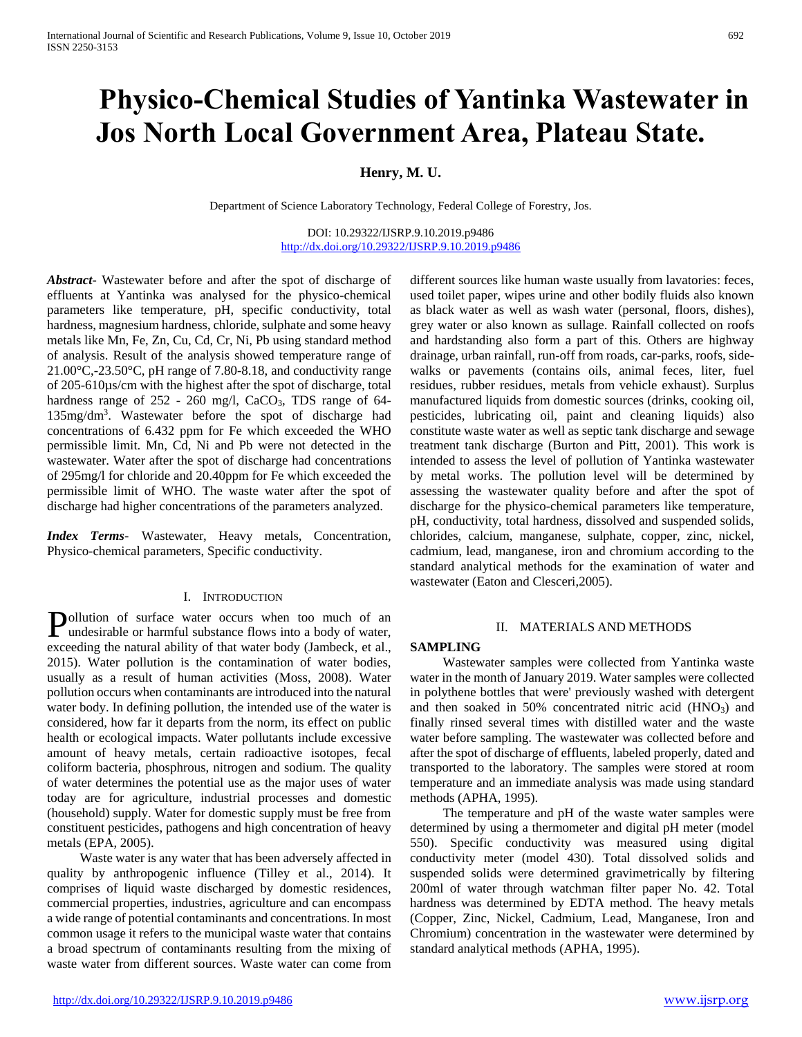# **Physico-Chemical Studies of Yantinka Wastewater in Jos North Local Government Area, Plateau State.**

# **Henry, M. U.**

Department of Science Laboratory Technology, Federal College of Forestry, Jos.

DOI: 10.29322/IJSRP.9.10.2019.p9486 <http://dx.doi.org/10.29322/IJSRP.9.10.2019.p9486>

*Abstract***-** Wastewater before and after the spot of discharge of effluents at Yantinka was analysed for the physico-chemical parameters like temperature, pH, specific conductivity, total hardness, magnesium hardness, chloride, sulphate and some heavy metals like Mn, Fe, Zn, Cu, Cd, Cr, Ni, Pb using standard method of analysis. Result of the analysis showed temperature range of 21.00°C,-23.50°C, pH range of 7.80-8.18, and conductivity range of 205-610µs/cm with the highest after the spot of discharge, total hardness range of 252 - 260 mg/l, CaCO<sub>3</sub>, TDS range of 64-135mg/dm<sup>3</sup> . Wastewater before the spot of discharge had concentrations of 6.432 ppm for Fe which exceeded the WHO permissible limit. Mn, Cd, Ni and Pb were not detected in the wastewater. Water after the spot of discharge had concentrations of 295mg/l for chloride and 20.40ppm for Fe which exceeded the permissible limit of WHO. The waste water after the spot of discharge had higher concentrations of the parameters analyzed.

*Index Terms*- Wastewater, Heavy metals, Concentration, Physico-chemical parameters, Specific conductivity.

#### I. INTRODUCTION

ollution of surface water occurs when too much of an **Pollution** of surface water occurs when too much of an undesirable or harmful substance flows into a body of water, exceeding the natural ability of that water body (Jambeck, et al., 2015). Water pollution is the contamination of water bodies, usually as a result of human activities (Moss, 2008). Water pollution occurs when contaminants are introduced into the natural water body. In defining pollution, the intended use of the water is considered, how far it departs from the norm, its effect on public health or ecological impacts. Water pollutants include excessive amount of heavy metals, certain radioactive isotopes, fecal coliform bacteria, phosphrous, nitrogen and sodium. The quality of water determines the potential use as the major uses of water today are for agriculture, industrial processes and domestic (household) supply. Water for domestic supply must be free from constituent pesticides, pathogens and high concentration of heavy metals (EPA, 2005).

 Waste water is any water that has been adversely affected in quality by anthropogenic influence (Tilley et al., 2014). It comprises of liquid waste discharged by domestic residences, commercial properties, industries, agriculture and can encompass a wide range of potential contaminants and concentrations. In most common usage it refers to the municipal waste water that contains a broad spectrum of contaminants resulting from the mixing of waste water from different sources. Waste water can come from

different sources like human waste usually from lavatories: feces, used toilet paper, wipes urine and other bodily fluids also known as black water as well as wash water (personal, floors, dishes), grey water or also known as sullage. Rainfall collected on roofs and hardstanding also form a part of this. Others are highway drainage, urban rainfall, run-off from roads, car-parks, roofs, sidewalks or pavements (contains oils, animal feces, liter, fuel residues, rubber residues, metals from vehicle exhaust). Surplus manufactured liquids from domestic sources (drinks, cooking oil, pesticides, lubricating oil, paint and cleaning liquids) also constitute waste water as well as septic tank discharge and sewage treatment tank discharge (Burton and Pitt, 2001). This work is intended to assess the level of pollution of Yantinka wastewater by metal works. The pollution level will be determined by assessing the wastewater quality before and after the spot of discharge for the physico-chemical parameters like temperature, pH, conductivity, total hardness, dissolved and suspended solids, chlorides, calcium, manganese, sulphate, copper, zinc, nickel, cadmium, lead, manganese, iron and chromium according to the standard analytical methods for the examination of water and wastewater (Eaton and Clesceri,2005).

## II. MATERIALS AND METHODS

#### **SAMPLING**

 Wastewater samples were collected from Yantinka waste water in the month of January 2019. Water samples were collected in polythene bottles that were' previously washed with detergent and then soaked in  $50\%$  concentrated nitric acid  $(HNO<sub>3</sub>)$  and finally rinsed several times with distilled water and the waste water before sampling. The wastewater was collected before and after the spot of discharge of effluents, labeled properly, dated and transported to the laboratory. The samples were stored at room temperature and an immediate analysis was made using standard methods (APHA, 1995).

 The temperature and pH of the waste water samples were determined by using a thermometer and digital pH meter (model 550). Specific conductivity was measured using digital conductivity meter (model 430). Total dissolved solids and suspended solids were determined gravimetrically by filtering 200ml of water through watchman filter paper No. 42. Total hardness was determined by EDTA method. The heavy metals (Copper, Zinc, Nickel, Cadmium, Lead, Manganese, Iron and Chromium) concentration in the wastewater were determined by standard analytical methods (APHA, 1995).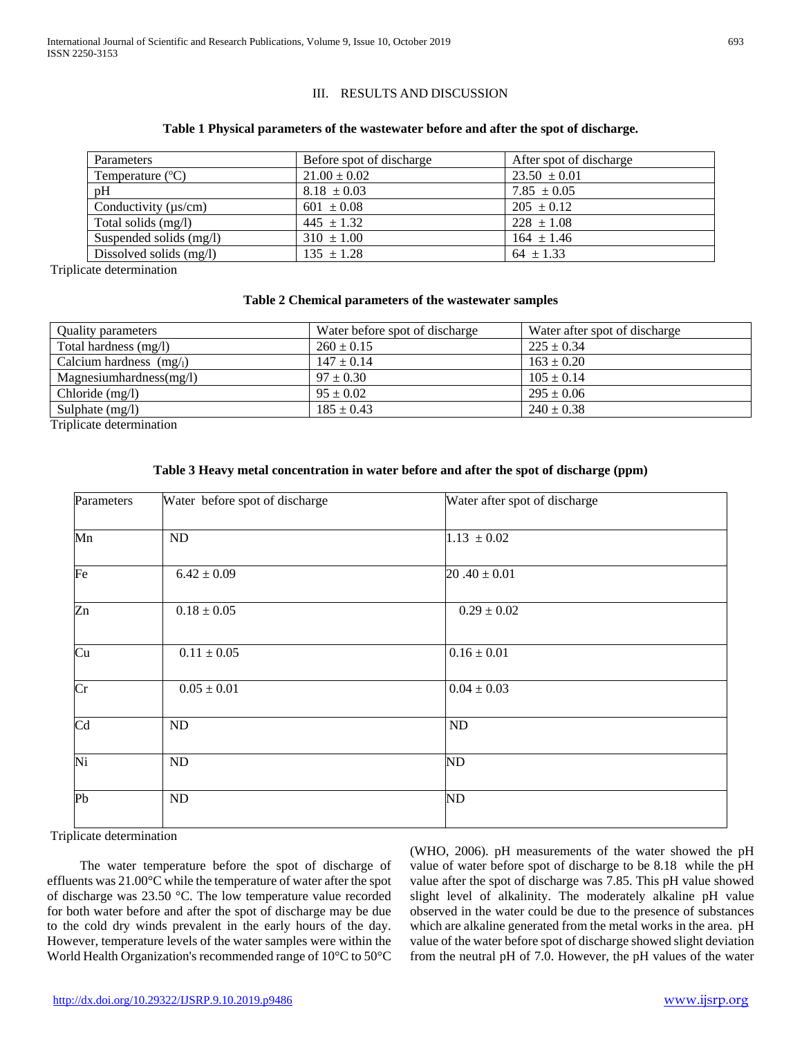# III. RESULTS AND DISCUSSION

## **Table 1 Physical parameters of the wastewater before and after the spot of discharge.**

| <b>Parameters</b>         | Before spot of discharge | After spot of discharge |
|---------------------------|--------------------------|-------------------------|
| Temperature $(^{\circ}C)$ | $21.00 \pm 0.02$         | $23.50 \pm 0.01$        |
| pH                        | $8.18 \pm 0.03$          | $7.85 \pm 0.05$         |
| Conductivity $(\mu s/cm)$ | $601 \pm 0.08$           | $205 \pm 0.12$          |
| Total solids (mg/l)       | $445 \pm 1.32$           | $228 \pm 1.08$          |
| Suspended solids (mg/l)   | $310 \pm 1.00$           | $164 \pm 1.46$          |
| Dissolved solids (mg/l)   | $135 \pm 1.28$           | $64 \pm 1.33$           |

Triplicate determination

### **Table 2 Chemical parameters of the wastewater samples**

| <b>Quality parameters</b> | Water before spot of discharge | Water after spot of discharge |
|---------------------------|--------------------------------|-------------------------------|
| Total hardness (mg/l)     | $260 \pm 0.15$                 | $225 \pm 0.34$                |
| Calcium hardness $(mg_l)$ | $147 \pm 0.14$                 | $163 \pm 0.20$                |
| Magnesium hardness(mg/l)  | $97 \pm 0.30$                  | $105 \pm 0.14$                |
| Chloride $(mg/l)$         | $95 \pm 0.02$                  | $295 \pm 0.06$                |
| Sulphate $(mg/l)$         | $185 \pm 0.43$                 | $240 \pm 0.38$                |

Triplicate determination

# **Table 3 Heavy metal concentration in water before and after the spot of discharge (ppm)**

| Parameters             | Water before spot of discharge | Water after spot of discharge |
|------------------------|--------------------------------|-------------------------------|
| Mn                     | ND                             | $1.13 \pm 0.02$               |
| Fe                     | $6.42 \pm 0.09$                | $20.40 \pm 0.01$              |
| $\overline{z}$ n       | $0.18 \pm 0.05$                | $0.29 \pm 0.02$               |
| Cu                     | $0.11 \pm 0.05$                | $0.16 \pm 0.01$               |
| $\overline{\text{Cr}}$ | $0.05 \pm 0.01$                | $0.04 \pm 0.03$               |
| Cd                     | ND                             | ND                            |
| Ni                     | ND                             | ND                            |
| Pb                     | ND                             | ND                            |

Triplicate determination

 The water temperature before the spot of discharge of effluents was 21.00°C while the temperature of water after the spot of discharge was 23.50 °C. The low temperature value recorded for both water before and after the spot of discharge may be due to the cold dry winds prevalent in the early hours of the day. However, temperature levels of the water samples were within the World Health Organization's recommended range of 10°C to 50°C (WHO, 2006). pH measurements of the water showed the pH value of water before spot of discharge to be 8.18 while the pH value after the spot of discharge was 7.85. This pH value showed slight level of alkalinity. The moderately alkaline pH value observed in the water could be due to the presence of substances which are alkaline generated from the metal works in the area. pH value of the water before spot of discharge showed slight deviation from the neutral pH of 7.0. However, the pH values of the water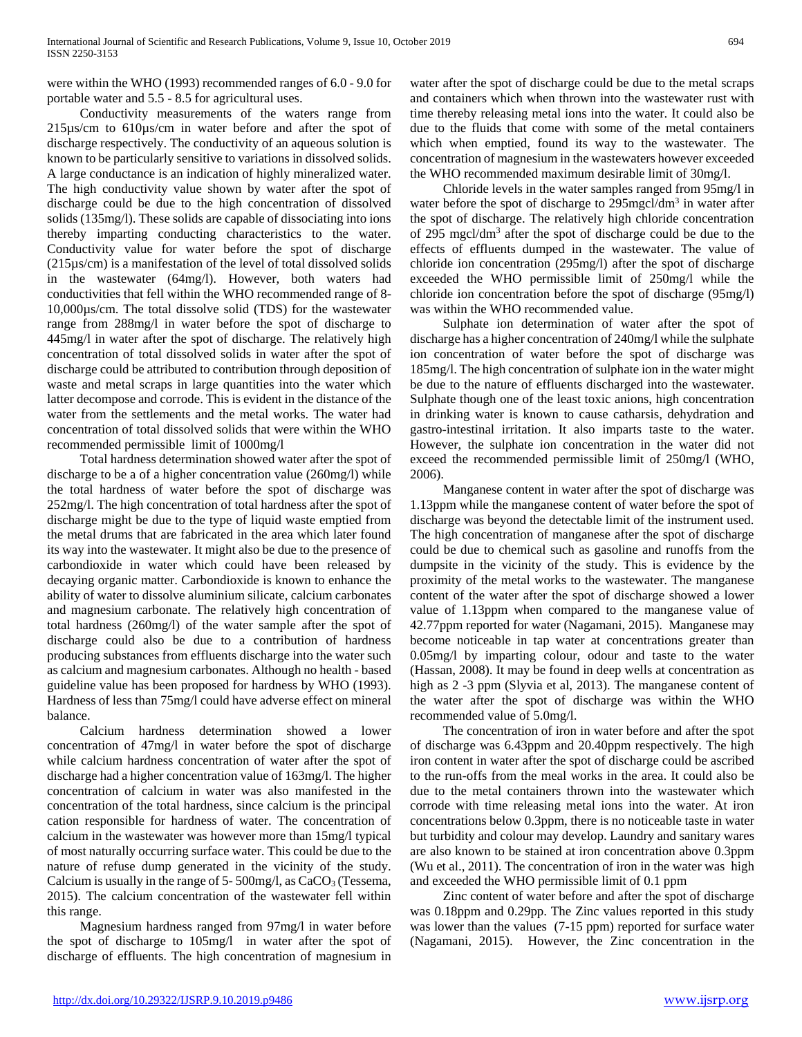were within the WHO (1993) recommended ranges of 6.0 - 9.0 for portable water and 5.5 - 8.5 for agricultural uses.

 Conductivity measurements of the waters range from 215µs/cm to 610µs/cm in water before and after the spot of discharge respectively. The conductivity of an aqueous solution is known to be particularly sensitive to variations in dissolved solids. A large conductance is an indication of highly mineralized water. The high conductivity value shown by water after the spot of discharge could be due to the high concentration of dissolved solids (135mg/l). These solids are capable of dissociating into ions thereby imparting conducting characteristics to the water. Conductivity value for water before the spot of discharge (215µs/cm) is a manifestation of the level of total dissolved solids in the wastewater (64mg/l). However, both waters had conductivities that fell within the WHO recommended range of 8- 10,000µs/cm. The total dissolve solid (TDS) for the wastewater range from 288mg/l in water before the spot of discharge to 445mg/l in water after the spot of discharge. The relatively high concentration of total dissolved solids in water after the spot of discharge could be attributed to contribution through deposition of waste and metal scraps in large quantities into the water which latter decompose and corrode. This is evident in the distance of the water from the settlements and the metal works. The water had concentration of total dissolved solids that were within the WHO recommended permissible limit of 1000mg/l

 Total hardness determination showed water after the spot of discharge to be a of a higher concentration value (260mg/l) while the total hardness of water before the spot of discharge was 252mg/l. The high concentration of total hardness after the spot of discharge might be due to the type of liquid waste emptied from the metal drums that are fabricated in the area which later found its way into the wastewater. It might also be due to the presence of carbondioxide in water which could have been released by decaying organic matter. Carbondioxide is known to enhance the ability of water to dissolve aluminium silicate, calcium carbonates and magnesium carbonate. The relatively high concentration of total hardness (260mg/l) of the water sample after the spot of discharge could also be due to a contribution of hardness producing substances from effluents discharge into the water such as calcium and magnesium carbonates. Although no health - based guideline value has been proposed for hardness by WHO (1993). Hardness of less than 75mg/l could have adverse effect on mineral balance.

 Calcium hardness determination showed a lower concentration of 47mg/l in water before the spot of discharge while calcium hardness concentration of water after the spot of discharge had a higher concentration value of 163mg/l. The higher concentration of calcium in water was also manifested in the concentration of the total hardness, since calcium is the principal cation responsible for hardness of water. The concentration of calcium in the wastewater was however more than 15mg/l typical of most naturally occurring surface water. This could be due to the nature of refuse dump generated in the vicinity of the study. Calcium is usually in the range of 5-500mg/l, as  $CaCO<sub>3</sub>$  (Tessema, 2015). The calcium concentration of the wastewater fell within this range.

 Magnesium hardness ranged from 97mg/l in water before the spot of discharge to 105mg/l in water after the spot of discharge of effluents. The high concentration of magnesium in

water after the spot of discharge could be due to the metal scraps and containers which when thrown into the wastewater rust with time thereby releasing metal ions into the water. It could also be due to the fluids that come with some of the metal containers which when emptied, found its way to the wastewater. The concentration of magnesium in the wastewaters however exceeded the WHO recommended maximum desirable limit of 30mg/l.

 Chloride levels in the water samples ranged from 95mg/l in water before the spot of discharge to 295mgcl/dm<sup>3</sup> in water after the spot of discharge. The relatively high chloride concentration of 295 mgcl/dm<sup>3</sup> after the spot of discharge could be due to the effects of effluents dumped in the wastewater. The value of chloride ion concentration (295mg/l) after the spot of discharge exceeded the WHO permissible limit of 250mg/l while the chloride ion concentration before the spot of discharge (95mg/l) was within the WHO recommended value.

 Sulphate ion determination of water after the spot of discharge has a higher concentration of 240mg/l while the sulphate ion concentration of water before the spot of discharge was 185mg/l. The high concentration of sulphate ion in the water might be due to the nature of effluents discharged into the wastewater. Sulphate though one of the least toxic anions, high concentration in drinking water is known to cause catharsis, dehydration and gastro-intestinal irritation. It also imparts taste to the water. However, the sulphate ion concentration in the water did not exceed the recommended permissible limit of 250mg/l (WHO, 2006).

 Manganese content in water after the spot of discharge was 1.13ppm while the manganese content of water before the spot of discharge was beyond the detectable limit of the instrument used. The high concentration of manganese after the spot of discharge could be due to chemical such as gasoline and runoffs from the dumpsite in the vicinity of the study. This is evidence by the proximity of the metal works to the wastewater. The manganese content of the water after the spot of discharge showed a lower value of 1.13ppm when compared to the manganese value of 42.77ppm reported for water (Nagamani, 2015). Manganese may become noticeable in tap water at concentrations greater than 0.05mg/l by imparting colour, odour and taste to the water (Hassan, 2008). It may be found in deep wells at concentration as high as 2 -3 ppm (Slyvia et al, 2013). The manganese content of the water after the spot of discharge was within the WHO recommended value of 5.0mg/l.

 The concentration of iron in water before and after the spot of discharge was 6.43ppm and 20.40ppm respectively. The high iron content in water after the spot of discharge could be ascribed to the run-offs from the meal works in the area. It could also be due to the metal containers thrown into the wastewater which corrode with time releasing metal ions into the water. At iron concentrations below 0.3ppm, there is no noticeable taste in water but turbidity and colour may develop. Laundry and sanitary wares are also known to be stained at iron concentration above 0.3ppm (Wu et al., 2011). The concentration of iron in the water was high and exceeded the WHO permissible limit of 0.1 ppm

 Zinc content of water before and after the spot of discharge was 0.18ppm and 0.29pp. The Zinc values reported in this study was lower than the values (7-15 ppm) reported for surface water (Nagamani, 2015). However, the Zinc concentration in the